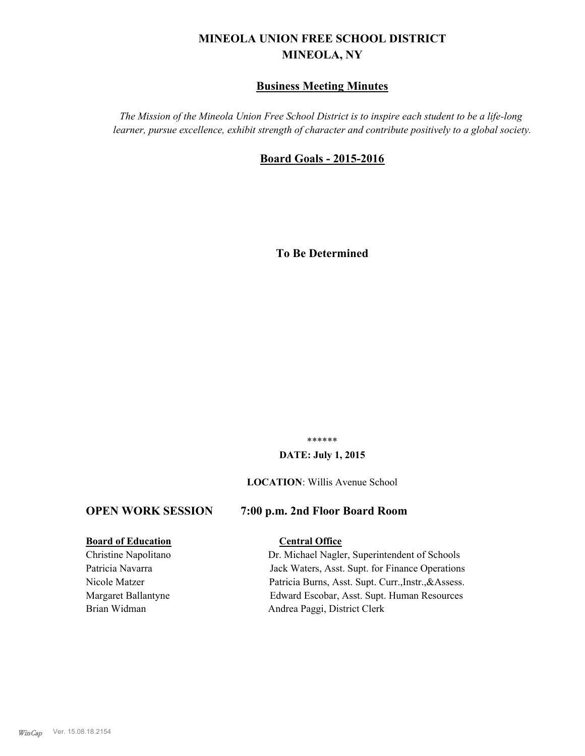# **MINEOLA UNION FREE SCHOOL DISTRICT MINEOLA, NY**

# **Business Meeting Minutes**

*The Mission of the Mineola Union Free School District is to inspire each student to be a life-long learner, pursue excellence, exhibit strength of character and contribute positively to a global society.*

# **Board Goals - 2015-2016**

**To Be Determined**

\*\*\*\*\*\*

#### **DATE: July 1, 2015**

#### **LOCATION**: Willis Avenue School

# **OPEN WORK SESSION 7:00 p.m. 2nd Floor Board Room**

#### **Board of Education Central Office**

Christine Napolitano Dr. Michael Nagler, Superintendent of Schools Patricia Navarra **Jack Waters, Asst. Supt. for Finance Operations** Nicole Matzer Patricia Burns, Asst. Supt. Curr.,Instr.,&Assess. Margaret Ballantyne Edward Escobar, Asst. Supt. Human Resources Brian Widman Andrea Paggi, District Clerk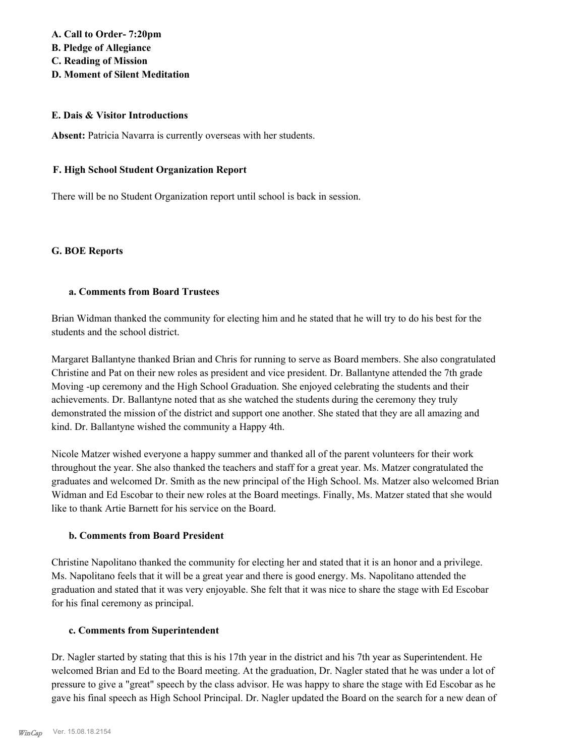# **A. Call to Order- 7:20pm B. Pledge of Allegiance C. Reading of Mission D. Moment of Silent Meditation**

# **E. Dais & Visitor Introductions**

Absent: Patricia Navarra is currently overseas with her students.

# **F. High School Student Organization Report**

There will be no Student Organization report until school is back in session.

# **G. BOE Reports**

# **a. Comments from Board Trustees**

Brian Widman thanked the community for electing him and he stated that he will try to do his best for the students and the school district.

Margaret Ballantyne thanked Brian and Chris for running to serve as Board members. She also congratulated Christine and Pat on their new roles as president and vice president. Dr. Ballantyne attended the 7th grade Moving -up ceremony and the High School Graduation. She enjoyed celebrating the students and their achievements. Dr. Ballantyne noted that as she watched the students during the ceremony they truly demonstrated the mission of the district and support one another. She stated that they are all amazing and kind. Dr. Ballantyne wished the community a Happy 4th.

Nicole Matzer wished everyone a happy summer and thanked all of the parent volunteers for their work throughout the year. She also thanked the teachers and staff for a great year. Ms. Matzer congratulated the graduates and welcomed Dr. Smith as the new principal of the High School. Ms. Matzer also welcomed Brian Widman and Ed Escobar to their new roles at the Board meetings. Finally, Ms. Matzer stated that she would like to thank Artie Barnett for his service on the Board.

# **b. Comments from Board President**

Christine Napolitano thanked the community for electing her and stated that it is an honor and a privilege. Ms. Napolitano feels that it will be a great year and there is good energy. Ms. Napolitano attended the graduation and stated that it was very enjoyable. She felt that it was nice to share the stage with Ed Escobar for his final ceremony as principal.

# **c. Comments from Superintendent**

Dr. Nagler started by stating that this is his 17th year in the district and his 7th year as Superintendent. He welcomed Brian and Ed to the Board meeting. At the graduation, Dr. Nagler stated that he was under a lot of pressure to give a "great" speech by the class advisor. He was happy to share the stage with Ed Escobar as he gave his final speech as High School Principal. Dr. Nagler updated the Board on the search for a new dean of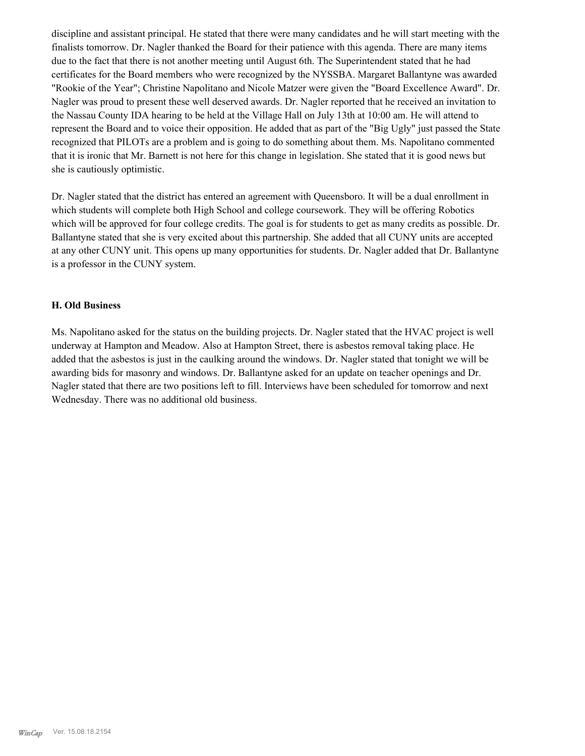discipline and assistant principal. He stated that there were many candidates and he will start meeting with the finalists tomorrow. Dr. Nagler thanked the Board for their patience with this agenda. There are many items due to the fact that there is not another meeting until August 6th. The Superintendent stated that he had certificates for the Board members who were recognized by the NYSSBA. Margaret Ballantyne was awarded "Rookie of the Year"; Christine Napolitano and Nicole Matzer were given the "Board Excellence Award". Dr. Nagler was proud to present these well deserved awards. Dr. Nagler reported that he received an invitation to the Nassau County IDA hearing to be held at the Village Hall on July 13th at 10:00 am. He will attend to represent the Board and to voice their opposition. He added that as part of the "Big Ugly" just passed the State recognized that PILOTs are a problem and is going to do something about them. Ms. Napolitano commented that it is ironic that Mr. Barnett is not here for this change in legislation. She stated that it is good news but she is cautiously optimistic.

Dr. Nagler stated that the district has entered an agreement with Queensboro. It will be a dual enrollment in which students will complete both High School and college coursework. They will be offering Robotics which will be approved for four college credits. The goal is for students to get as many credits as possible. Dr. Ballantyne stated that she is very excited about this partnership. She added that all CUNY units are accepted at any other CUNY unit. This opens up many opportunities for students. Dr. Nagler added that Dr. Ballantyne is a professor in the CUNY system.

# **H. Old Business**

Ms. Napolitano asked for the status on the building projects. Dr. Nagler stated that the HVAC project is well underway at Hampton and Meadow. Also at Hampton Street, there is asbestos removal taking place. He added that the asbestos is just in the caulking around the windows. Dr. Nagler stated that tonight we will be awarding bids for masonry and windows. Dr. Ballantyne asked for an update on teacher openings and Dr. Nagler stated that there are two positions left to fill. Interviews have been scheduled for tomorrow and next Wednesday. There was no additional old business.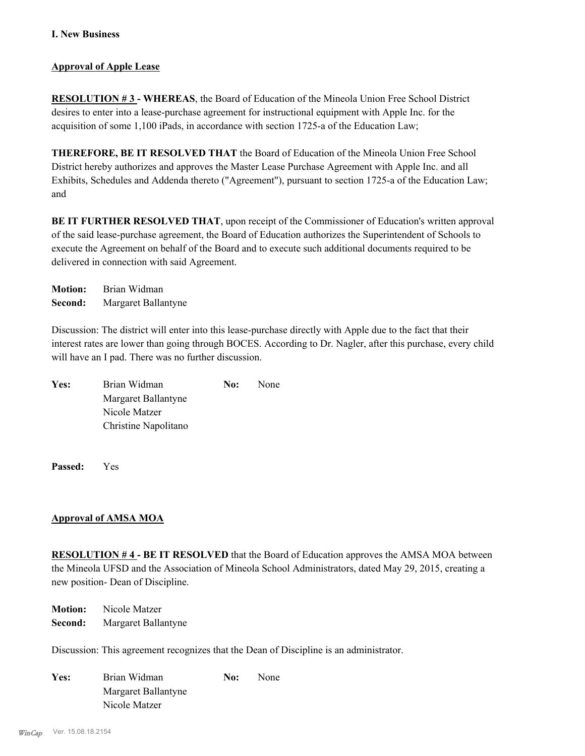# **Approval of Apple Lease**

**RESOLUTION # 3 - WHEREAS**, the Board of Education of the Mineola Union Free School District desires to enter into a lease-purchase agreement for instructional equipment with Apple Inc. for the acquisition of some 1,100 iPads, in accordance with section 1725-a of the Education Law;

**THEREFORE, BE IT RESOLVED THAT** the Board of Education of the Mineola Union Free School District hereby authorizes and approves the Master Lease Purchase Agreement with Apple Inc. and all Exhibits, Schedules and Addenda thereto ("Agreement"), pursuant to section 1725-a of the Education Law; and

**BE IT FURTHER RESOLVED THAT**, upon receipt of the Commissioner of Education's written approval of the said lease-purchase agreement, the Board of Education authorizes the Superintendent of Schools to execute the Agreement on behalf of the Board and to execute such additional documents required to be delivered in connection with said Agreement.

**Motion:** Brian Widman **Second:** Margaret Ballantyne

Discussion: The district will enter into this lease-purchase directly with Apple due to the fact that their interest rates are lower than going through BOCES. According to Dr. Nagler, after this purchase, every child will have an I pad. There was no further discussion.

| Yes: | Brian Widman         | No: | <b>None</b> |
|------|----------------------|-----|-------------|
|      | Margaret Ballantyne  |     |             |
|      | Nicole Matzer        |     |             |
|      | Christine Napolitano |     |             |

**Passed:** Yes

# **Approval of AMSA MOA**

**RESOLUTION # 4 - BE IT RESOLVED** that the Board of Education approves the AMSA MOA between the Mineola UFSD and the Association of Mineola School Administrators, dated May 29, 2015, creating a new position- Dean of Discipline.

**Motion:** Nicole Matzer **Second:** Margaret Ballantyne

Discussion: This agreement recognizes that the Dean of Discipline is an administrator.

| Yes: | Brian Widman        | No: | None |
|------|---------------------|-----|------|
|      | Margaret Ballantyne |     |      |
|      | Nicole Matzer       |     |      |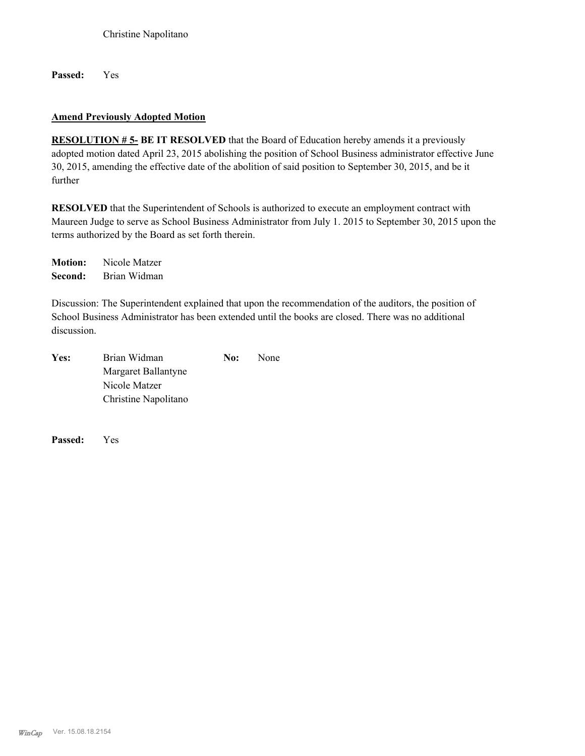**Passed:** Yes

# **Amend Previously Adopted Motion**

**RESOLUTION # 5- BE IT RESOLVED** that the Board of Education hereby amends it a previously adopted motion dated April 23, 2015 abolishing the position of School Business administrator effective June 30, 2015, amending the effective date of the abolition of said position to September 30, 2015, and be it further

**RESOLVED** that the Superintendent of Schools is authorized to execute an employment contract with Maureen Judge to serve as School Business Administrator from July 1. 2015 to September 30, 2015 upon the terms authorized by the Board as set forth therein.

**Motion:** Nicole Matzer **Second:** Brian Widman

Discussion: The Superintendent explained that upon the recommendation of the auditors, the position of School Business Administrator has been extended until the books are closed. There was no additional discussion.

| Yes: | Brian Widman         | No: | <b>None</b> |
|------|----------------------|-----|-------------|
|      | Margaret Ballantyne  |     |             |
|      | Nicole Matzer        |     |             |
|      | Christine Napolitano |     |             |

**Passed:** Yes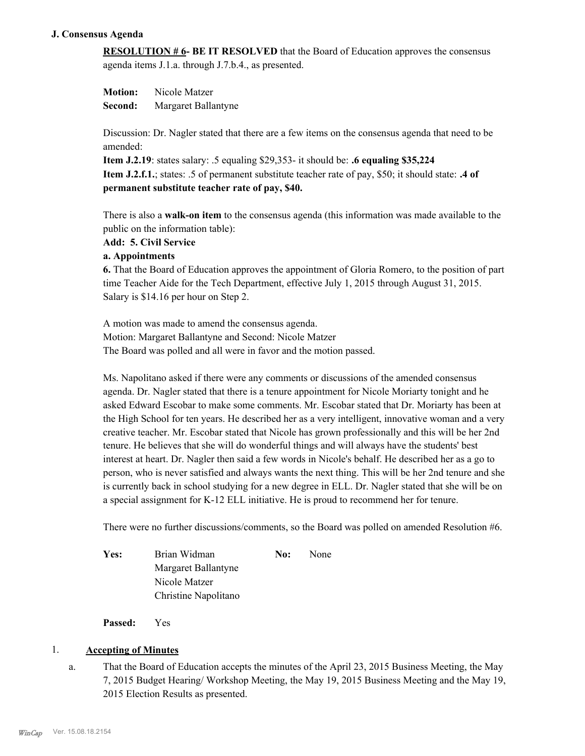# **J. Consensus Agenda**

**RESOLUTION # 6- BE IT RESOLVED** that the Board of Education approves the consensus agenda items J.1.a. through J.7.b.4., as presented.

**Motion:** Nicole Matzer **Second:** Margaret Ballantyne

Discussion: Dr. Nagler stated that there are a few items on the consensus agenda that need to be amended:

**Item J.2.19**: states salary: .5 equaling \$29,353- it should be: **.6 equaling \$35,224 Item J.2.f.1.**; states: .5 of permanent substitute teacher rate of pay, \$50; it should state: **.4 of permanent substitute teacher rate of pay, \$40.**

There is also a **walk-on item** to the consensus agenda (this information was made available to the public on the information table):

# **Add: 5. Civil Service**

# **a. Appointments**

**6.** That the Board of Education approves the appointment of Gloria Romero, to the position of part time Teacher Aide for the Tech Department, effective July 1, 2015 through August 31, 2015. Salary is \$14.16 per hour on Step 2.

A motion was made to amend the consensus agenda. Motion: Margaret Ballantyne and Second: Nicole Matzer The Board was polled and all were in favor and the motion passed.

Ms. Napolitano asked if there were any comments or discussions of the amended consensus agenda. Dr. Nagler stated that there is a tenure appointment for Nicole Moriarty tonight and he asked Edward Escobar to make some comments. Mr. Escobar stated that Dr. Moriarty has been at the High School for ten years. He described her as a very intelligent, innovative woman and a very creative teacher. Mr. Escobar stated that Nicole has grown professionally and this will be her 2nd tenure. He believes that she will do wonderful things and will always have the students' best interest at heart. Dr. Nagler then said a few words in Nicole's behalf. He described her as a go to person, who is never satisfied and always wants the next thing. This will be her 2nd tenure and she is currently back in school studying for a new degree in ELL. Dr. Nagler stated that she will be on a special assignment for K-12 ELL initiative. He is proud to recommend her for tenure.

There were no further discussions/comments, so the Board was polled on amended Resolution #6.

| Yes: | Brian Widman         | No: | <b>None</b> |
|------|----------------------|-----|-------------|
|      | Margaret Ballantyne  |     |             |
|      | Nicole Matzer        |     |             |
|      | Christine Napolitano |     |             |

**Passed:** Yes

# 1. **Accepting of Minutes**

That the Board of Education accepts the minutes of the April 23, 2015 Business Meeting, the May 7, 2015 Budget Hearing/ Workshop Meeting, the May 19, 2015 Business Meeting and the May 19, 2015 Election Results as presented. a.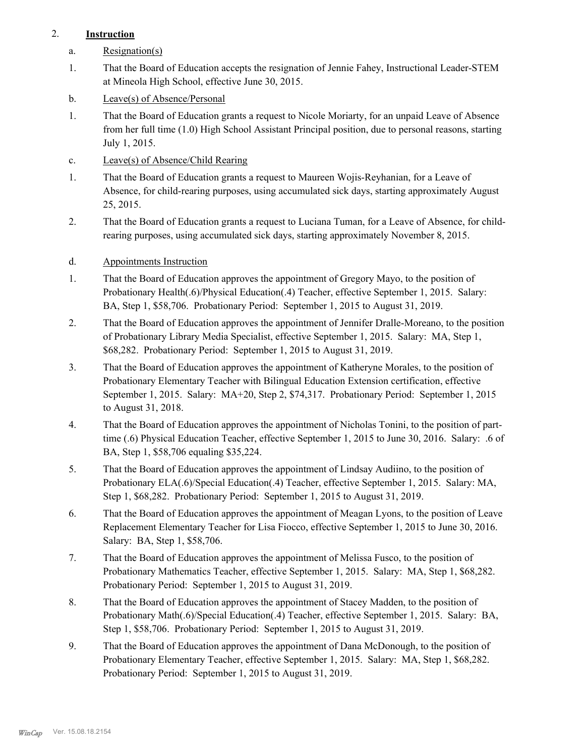# 2. **Instruction**

- a. Resignation(s)
- That the Board of Education accepts the resignation of Jennie Fahey, Instructional Leader-STEM at Mineola High School, effective June 30, 2015. 1.
- b. Leave(s) of Absence/Personal
- That the Board of Education grants a request to Nicole Moriarty, for an unpaid Leave of Absence from her full time (1.0) High School Assistant Principal position, due to personal reasons, starting July 1, 2015. 1.
- c. Leave(s) of Absence/Child Rearing
- That the Board of Education grants a request to Maureen Wojis-Reyhanian, for a Leave of Absence, for child-rearing purposes, using accumulated sick days, starting approximately August 25, 2015. 1.
- That the Board of Education grants a request to Luciana Tuman, for a Leave of Absence, for childrearing purposes, using accumulated sick days, starting approximately November 8, 2015. 2.
- d. Appointments Instruction
- That the Board of Education approves the appointment of Gregory Mayo, to the position of Probationary Health(.6)/Physical Education(.4) Teacher, effective September 1, 2015. Salary: BA, Step 1, \$58,706. Probationary Period: September 1, 2015 to August 31, 2019. 1.
- That the Board of Education approves the appointment of Jennifer Dralle-Moreano, to the position of Probationary Library Media Specialist, effective September 1, 2015. Salary: MA, Step 1, \$68,282. Probationary Period: September 1, 2015 to August 31, 2019. 2.
- That the Board of Education approves the appointment of Katheryne Morales, to the position of Probationary Elementary Teacher with Bilingual Education Extension certification, effective September 1, 2015. Salary: MA+20, Step 2, \$74,317. Probationary Period: September 1, 2015 to August 31, 2018. 3.
- That the Board of Education approves the appointment of Nicholas Tonini, to the position of parttime (.6) Physical Education Teacher, effective September 1, 2015 to June 30, 2016. Salary: .6 of BA, Step 1, \$58,706 equaling \$35,224. 4.
- That the Board of Education approves the appointment of Lindsay Audiino, to the position of Probationary ELA(.6)/Special Education(.4) Teacher, effective September 1, 2015. Salary: MA, Step 1, \$68,282. Probationary Period: September 1, 2015 to August 31, 2019. 5.
- That the Board of Education approves the appointment of Meagan Lyons, to the position of Leave Replacement Elementary Teacher for Lisa Fiocco, effective September 1, 2015 to June 30, 2016. Salary: BA, Step 1, \$58,706. 6.
- That the Board of Education approves the appointment of Melissa Fusco, to the position of Probationary Mathematics Teacher, effective September 1, 2015. Salary: MA, Step 1, \$68,282. Probationary Period: September 1, 2015 to August 31, 2019. 7.
- That the Board of Education approves the appointment of Stacey Madden, to the position of Probationary Math(.6)/Special Education(.4) Teacher, effective September 1, 2015. Salary: BA, Step 1, \$58,706. Probationary Period: September 1, 2015 to August 31, 2019. 8.
- That the Board of Education approves the appointment of Dana McDonough, to the position of Probationary Elementary Teacher, effective September 1, 2015. Salary: MA, Step 1, \$68,282. Probationary Period: September 1, 2015 to August 31, 2019. 9.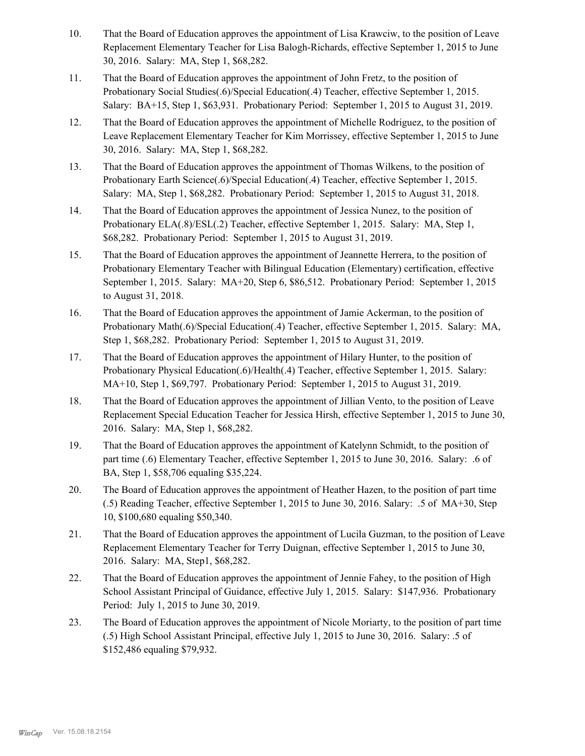- That the Board of Education approves the appointment of Lisa Krawciw, to the position of Leave Replacement Elementary Teacher for Lisa Balogh-Richards, effective September 1, 2015 to June 30, 2016. Salary: MA, Step 1, \$68,282. 10.
- That the Board of Education approves the appointment of John Fretz, to the position of Probationary Social Studies(.6)/Special Education(.4) Teacher, effective September 1, 2015. Salary: BA+15, Step 1, \$63,931. Probationary Period: September 1, 2015 to August 31, 2019. 11.
- That the Board of Education approves the appointment of Michelle Rodriguez, to the position of Leave Replacement Elementary Teacher for Kim Morrissey, effective September 1, 2015 to June 30, 2016. Salary: MA, Step 1, \$68,282. 12.
- That the Board of Education approves the appointment of Thomas Wilkens, to the position of Probationary Earth Science(.6)/Special Education(.4) Teacher, effective September 1, 2015. Salary: MA, Step 1, \$68,282. Probationary Period: September 1, 2015 to August 31, 2018. 13.
- That the Board of Education approves the appointment of Jessica Nunez, to the position of Probationary ELA(.8)/ESL(.2) Teacher, effective September 1, 2015. Salary: MA, Step 1, \$68,282. Probationary Period: September 1, 2015 to August 31, 2019. 14.
- That the Board of Education approves the appointment of Jeannette Herrera, to the position of Probationary Elementary Teacher with Bilingual Education (Elementary) certification, effective September 1, 2015. Salary: MA+20, Step 6, \$86,512. Probationary Period: September 1, 2015 to August 31, 2018. 15.
- That the Board of Education approves the appointment of Jamie Ackerman, to the position of Probationary Math(.6)/Special Education(.4) Teacher, effective September 1, 2015. Salary: MA, Step 1, \$68,282. Probationary Period: September 1, 2015 to August 31, 2019. 16.
- That the Board of Education approves the appointment of Hilary Hunter, to the position of Probationary Physical Education(.6)/Health(.4) Teacher, effective September 1, 2015. Salary: MA+10, Step 1, \$69,797. Probationary Period: September 1, 2015 to August 31, 2019. 17.
- That the Board of Education approves the appointment of Jillian Vento, to the position of Leave Replacement Special Education Teacher for Jessica Hirsh, effective September 1, 2015 to June 30, 2016. Salary: MA, Step 1, \$68,282. 18.
- That the Board of Education approves the appointment of Katelynn Schmidt, to the position of part time (.6) Elementary Teacher, effective September 1, 2015 to June 30, 2016. Salary: .6 of BA, Step 1, \$58,706 equaling \$35,224. 19.
- The Board of Education approves the appointment of Heather Hazen, to the position of part time (.5) Reading Teacher, effective September 1, 2015 to June 30, 2016. Salary: .5 of MA+30, Step 10, \$100,680 equaling \$50,340. 20.
- That the Board of Education approves the appointment of Lucila Guzman, to the position of Leave Replacement Elementary Teacher for Terry Duignan, effective September 1, 2015 to June 30, 2016. Salary: MA, Step1, \$68,282. 21.
- That the Board of Education approves the appointment of Jennie Fahey, to the position of High School Assistant Principal of Guidance, effective July 1, 2015. Salary: \$147,936. Probationary Period: July 1, 2015 to June 30, 2019. 22.
- The Board of Education approves the appointment of Nicole Moriarty, to the position of part time (.5) High School Assistant Principal, effective July 1, 2015 to June 30, 2016. Salary: .5 of \$152,486 equaling \$79,932. 23.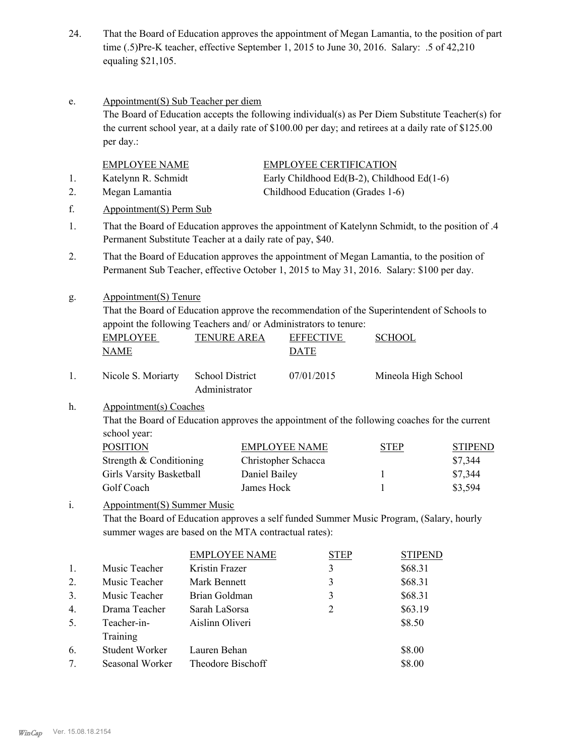- That the Board of Education approves the appointment of Megan Lamantia, to the position of part time (.5)Pre-K teacher, effective September 1, 2015 to June 30, 2016. Salary: .5 of 42,210 equaling \$21,105. 24.
- Appointment(S) Sub Teacher per diem The Board of Education accepts the following individual(s) as Per Diem Substitute Teacher(s) for the current school year, at a daily rate of \$100.00 per day; and retirees at a daily rate of \$125.00 per day.: e. EMPLOYEE NAME EMPLOYEE CERTIFICATION 1. Katelynn R. Schmidt Early Childhood Ed(B-2), Childhood Ed(1-6) 2. Megan Lamantia Childhood Education (Grades 1-6) f. Appointment(S) Perm Sub That the Board of Education approves the appointment of Katelynn Schmidt, to the position of .4 Permanent Substitute Teacher at a daily rate of pay, \$40. 1. That the Board of Education approves the appointment of Megan Lamantia, to the position of Permanent Sub Teacher, effective October 1, 2015 to May 31, 2016. Salary: \$100 per day. 2. Appointment(S) Tenure That the Board of Education approve the recommendation of the Superintendent of Schools to appoint the following Teachers and/ or Administrators to tenure: g. EMPLOYEE NAME TENURE AREA EFFECTIVE DATE **SCHOOL** Nicole S. Moriarty School District Administrator 1. Nicole S. Moriarty School District 07/01/2015 Mineola High School Appointment(s) Coaches That the Board of Education approves the appointment of the following coaches for the current school year: h. POSITION EMPLOYEE NAME STEP STIPEND Strength & Conditioning Christopher Schacca \$7,344 Girls Varsity Basketball **Daniel Bailey** 1 57,344 Golf Coach James Hock 1 \$3,594 Appointment(S) Summer Music That the Board of Education approves a self funded Summer Music Program, (Salary, hourly summer wages are based on the MTA contractual rates): i. EMPLOYEE NAME STEP STIPEND 1. Music Teacher Kristin Frazer 3 \$68.31 2. Music Teacher Mark Bennett 3 3 \$68.31

| 3.                               | Music Teacher   | Brian Goldman     | 3 | \$68.31 |
|----------------------------------|-----------------|-------------------|---|---------|
| 4 <sub>1</sub>                   | Drama Teacher   | Sarah LaSorsa     |   | \$63.19 |
| 5.                               | Teacher-in-     | Aislinn Oliveri   |   | \$8.50  |
|                                  | Training        |                   |   |         |
| 6.                               | Student Worker  | Lauren Behan      |   | \$8.00  |
| $7_{\scriptscriptstyle{\ddots}}$ | Seasonal Worker | Theodore Bischoff |   | \$8.00  |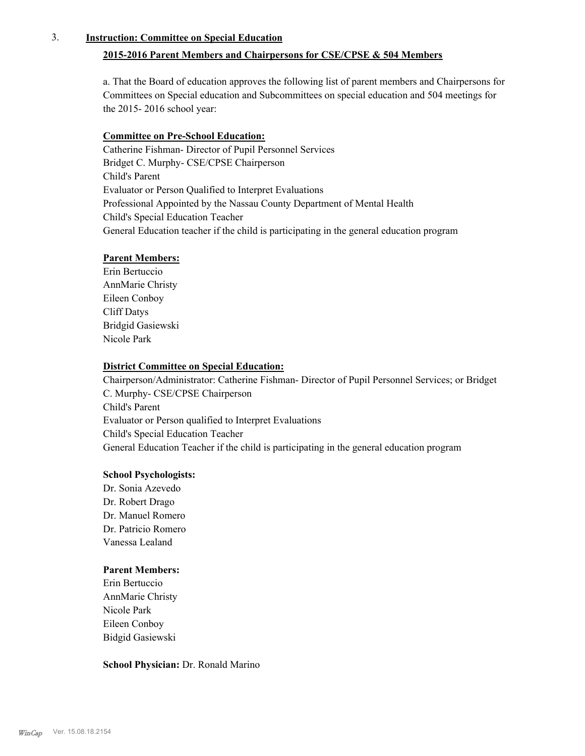# 3. **Instruction: Committee on Special Education**

# **2015-2016 Parent Members and Chairpersons for CSE/CPSE & 504 Members**

a. That the Board of education approves the following list of parent members and Chairpersons for Committees on Special education and Subcommittees on special education and 504 meetings for the 2015- 2016 school year:

# **Committee on Pre-School Education:**

Catherine Fishman- Director of Pupil Personnel Services Bridget C. Murphy- CSE/CPSE Chairperson Child's Parent Evaluator or Person Qualified to Interpret Evaluations Professional Appointed by the Nassau County Department of Mental Health Child's Special Education Teacher General Education teacher if the child is participating in the general education program

# **Parent Members:**

Erin Bertuccio AnnMarie Christy Eileen Conboy Cliff Datys Bridgid Gasiewski Nicole Park

### **District Committee on Special Education:**

Chairperson/Administrator: Catherine Fishman- Director of Pupil Personnel Services; or Bridget C. Murphy- CSE/CPSE Chairperson Child's Parent Evaluator or Person qualified to Interpret Evaluations Child's Special Education Teacher General Education Teacher if the child is participating in the general education program

# **School Psychologists:**

Dr. Sonia Azevedo Dr. Robert Drago Dr. Manuel Romero Dr. Patricio Romero Vanessa Lealand

### **Parent Members:**

Erin Bertuccio AnnMarie Christy Nicole Park Eileen Conboy Bidgid Gasiewski

### **School Physician:** Dr. Ronald Marino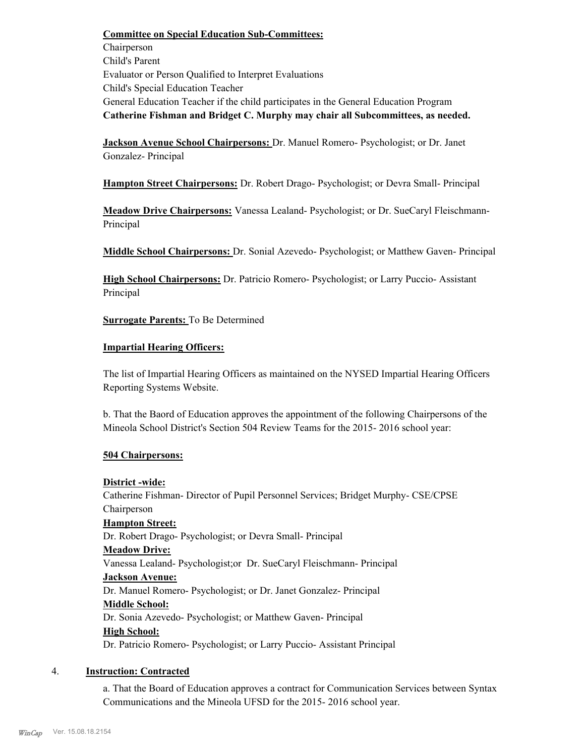**Committee on Special Education Sub-Committees:** Chairperson Child's Parent Evaluator or Person Qualified to Interpret Evaluations Child's Special Education Teacher General Education Teacher if the child participates in the General Education Program **Catherine Fishman and Bridget C. Murphy may chair all Subcommittees, as needed.**

**Jackson Avenue School Chairpersons:** Dr. Manuel Romero- Psychologist; or Dr. Janet Gonzalez- Principal

**Hampton Street Chairpersons:** Dr. Robert Drago- Psychologist; or Devra Small- Principal

**Meadow Drive Chairpersons:** Vanessa Lealand- Psychologist; or Dr. SueCaryl Fleischmann-Principal

**Middle School Chairpersons:** Dr. Sonial Azevedo- Psychologist; or Matthew Gaven- Principal

**High School Chairpersons:** Dr. Patricio Romero- Psychologist; or Larry Puccio- Assistant Principal

**Surrogate Parents:** To Be Determined

# **Impartial Hearing Officers:**

The list of Impartial Hearing Officers as maintained on the NYSED Impartial Hearing Officers Reporting Systems Website.

b. That the Baord of Education approves the appointment of the following Chairpersons of the Mineola School District's Section 504 Review Teams for the 2015- 2016 school year:

# **504 Chairpersons:**

# **District -wide:**

Catherine Fishman- Director of Pupil Personnel Services; Bridget Murphy- CSE/CPSE Chairperson **Hampton Street:** Dr. Robert Drago- Psychologist; or Devra Small- Principal **Meadow Drive:**

Vanessa Lealand- Psychologist;or Dr. SueCaryl Fleischmann- Principal

# **Jackson Avenue:**

Dr. Manuel Romero- Psychologist; or Dr. Janet Gonzalez- Principal

# **Middle School:**

Dr. Sonia Azevedo- Psychologist; or Matthew Gaven- Principal **High School:**

Dr. Patricio Romero- Psychologist; or Larry Puccio- Assistant Principal

# 4. **Instruction: Contracted**

a. That the Board of Education approves a contract for Communication Services between Syntax Communications and the Mineola UFSD for the 2015- 2016 school year.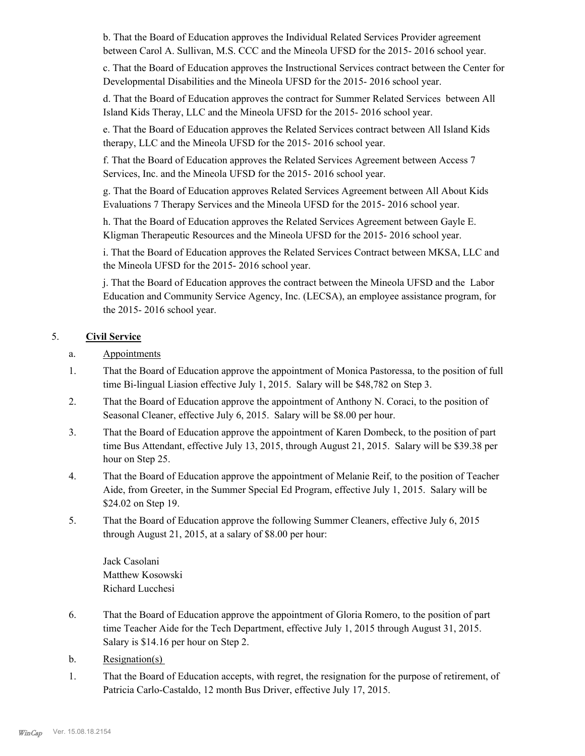b. That the Board of Education approves the Individual Related Services Provider agreement between Carol A. Sullivan, M.S. CCC and the Mineola UFSD for the 2015- 2016 school year.

c. That the Board of Education approves the Instructional Services contract between the Center for Developmental Disabilities and the Mineola UFSD for the 2015- 2016 school year.

d. That the Board of Education approves the contract for Summer Related Services between All Island Kids Theray, LLC and the Mineola UFSD for the 2015- 2016 school year.

e. That the Board of Education approves the Related Services contract between All Island Kids therapy, LLC and the Mineola UFSD for the 2015- 2016 school year.

f. That the Board of Education approves the Related Services Agreement between Access 7 Services, Inc. and the Mineola UFSD for the 2015- 2016 school year.

g. That the Board of Education approves Related Services Agreement between All About Kids Evaluations 7 Therapy Services and the Mineola UFSD for the 2015- 2016 school year.

h. That the Board of Education approves the Related Services Agreement between Gayle E. Kligman Therapeutic Resources and the Mineola UFSD for the 2015- 2016 school year.

i. That the Board of Education approves the Related Services Contract between MKSA, LLC and the Mineola UFSD for the 2015- 2016 school year.

j. That the Board of Education approves the contract between the Mineola UFSD and the Labor Education and Community Service Agency, Inc. (LECSA), an employee assistance program, for the 2015- 2016 school year.

# 5. **Civil Service**

- a. Appointments
- That the Board of Education approve the appointment of Monica Pastoressa, to the position of full time Bi-lingual Liasion effective July 1, 2015. Salary will be \$48,782 on Step 3. 1.
- That the Board of Education approve the appointment of Anthony N. Coraci, to the position of Seasonal Cleaner, effective July 6, 2015. Salary will be \$8.00 per hour. 2.
- That the Board of Education approve the appointment of Karen Dombeck, to the position of part time Bus Attendant, effective July 13, 2015, through August 21, 2015. Salary will be \$39.38 per hour on Step 25. 3.
- That the Board of Education approve the appointment of Melanie Reif, to the position of Teacher Aide, from Greeter, in the Summer Special Ed Program, effective July 1, 2015. Salary will be \$24.02 on Step 19. 4.
- That the Board of Education approve the following Summer Cleaners, effective July 6, 2015 through August 21, 2015, at a salary of \$8.00 per hour: 5.

Jack Casolani Matthew Kosowski Richard Lucchesi

- That the Board of Education approve the appointment of Gloria Romero, to the position of part time Teacher Aide for the Tech Department, effective July 1, 2015 through August 31, 2015. Salary is \$14.16 per hour on Step 2. 6.
- b. Resignation(s)
- That the Board of Education accepts, with regret, the resignation for the purpose of retirement, of Patricia Carlo-Castaldo, 12 month Bus Driver, effective July 17, 2015. 1.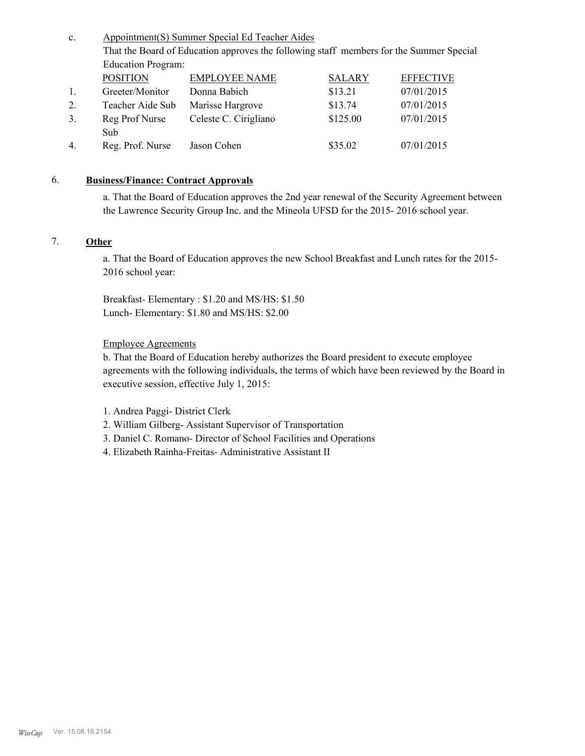Appointment(S) Summer Special Ed Teacher Aides That the Board of Education approves the following staff members for the Summer Special Education Program: c. POSITION EMPLOYEE NAME SALARY EFFECTIVE 1. Greeter/Monitor Donna Babich \$13.21 07/01/2015 2. Teacher Aide Sub Marisse Hargrove \$13.74 07/01/2015 Reg Prof Nurse Sub 3. Celeste C. Cirigliano \$125.00 07/01/2015 4. Reg. Prof. Nurse Jason Cohen \$35.02 07/01/2015

# 6. **Business/Finance: Contract Approvals**

a. That the Board of Education approves the 2nd year renewal of the Security Agreement between the Lawrence Security Group Inc. and the Mineola UFSD for the 2015- 2016 school year.

# 7. **Other**

a. That the Board of Education approves the new School Breakfast and Lunch rates for the 2015- 2016 school year:

Breakfast- Elementary : \$1.20 and MS/HS: \$1.50 Lunch- Elementary: \$1.80 and MS/HS: \$2.00

### Employee Agreements

b. That the Board of Education hereby authorizes the Board president to execute employee agreements with the following individuals, the terms of which have been reviewed by the Board in executive session, effective July 1, 2015:

- 1. Andrea Paggi- District Clerk
- 2. William Gilberg- Assistant Supervisor of Transportation
- 3. Daniel C. Romano- Director of School Facilities and Operations
- 4. Elizabeth Rainha-Freitas- Administrative Assistant II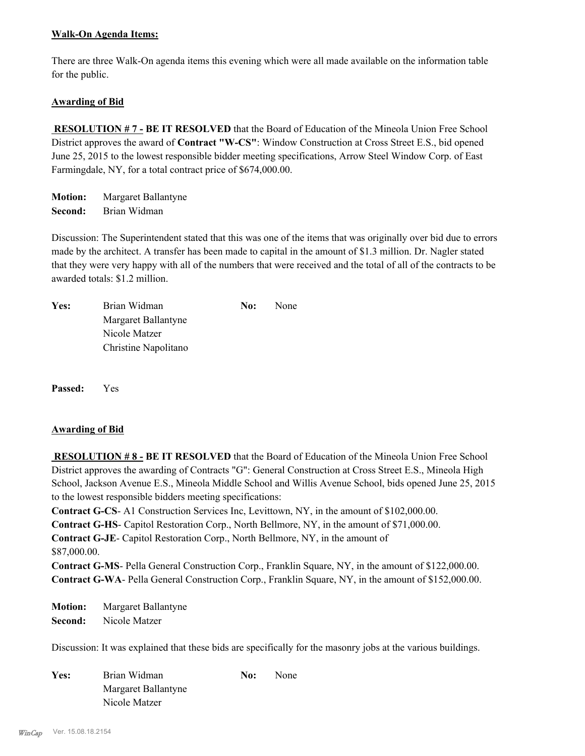# **Walk-On Agenda Items:**

There are three Walk-On agenda items this evening which were all made available on the information table for the public.

# **Awarding of Bid**

 **RESOLUTION # 7 - BE IT RESOLVED** that the Board of Education of the Mineola Union Free School District approves the award of **Contract "W-CS"**: Window Construction at Cross Street E.S., bid opened June 25, 2015 to the lowest responsible bidder meeting specifications, Arrow Steel Window Corp. of East Farmingdale, NY, for a total contract price of \$674,000.00.

**Motion:** Margaret Ballantyne **Second:** Brian Widman

Discussion: The Superintendent stated that this was one of the items that was originally over bid due to errors made by the architect. A transfer has been made to capital in the amount of \$1.3 million. Dr. Nagler stated that they were very happy with all of the numbers that were received and the total of all of the contracts to be awarded totals: \$1.2 million.

| Yes: | Brian Widman         | No: | None |
|------|----------------------|-----|------|
|      | Margaret Ballantyne  |     |      |
|      | Nicole Matzer        |     |      |
|      | Christine Napolitano |     |      |

**Passed:** Yes

# **Awarding of Bid**

 **RESOLUTION # 8 - BE IT RESOLVED** that the Board of Education of the Mineola Union Free School District approves the awarding of Contracts "G": General Construction at Cross Street E.S., Mineola High School, Jackson Avenue E.S., Mineola Middle School and Willis Avenue School, bids opened June 25, 2015 to the lowest responsible bidders meeting specifications:

**Contract G-CS**- A1 Construction Services Inc, Levittown, NY, in the amount of \$102,000.00.

**Contract G-HS**- Capitol Restoration Corp., North Bellmore, NY, in the amount of \$71,000.00.

**Contract G-JE**- Capitol Restoration Corp., North Bellmore, NY, in the amount of \$87,000.00.

**Contract G-MS**- Pella General Construction Corp., Franklin Square, NY, in the amount of \$122,000.00. **Contract G-WA**- Pella General Construction Corp., Franklin Square, NY, in the amount of \$152,000.00.

**Motion:** Margaret Ballantyne **Second:** Nicole Matzer

Discussion: It was explained that these bids are specifically for the masonry jobs at the various buildings.

| Yes: | Brian Widman        | No: | None |
|------|---------------------|-----|------|
|      | Margaret Ballantyne |     |      |
|      | Nicole Matzer       |     |      |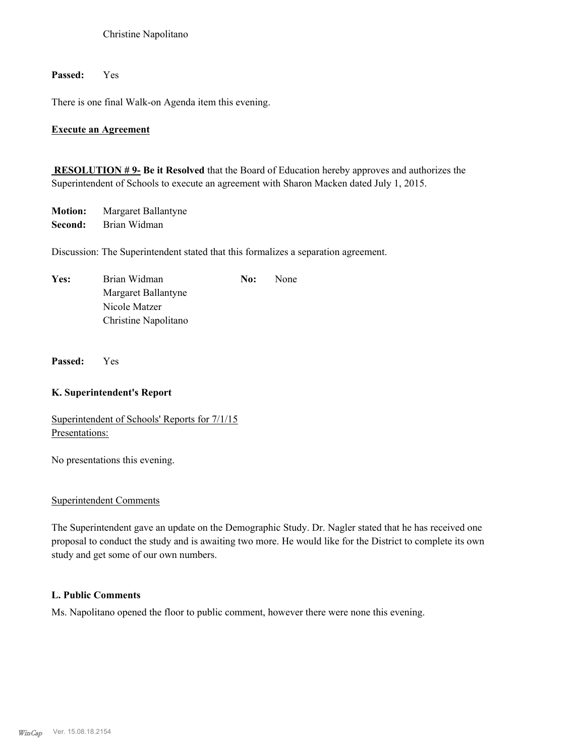## Christine Napolitano

# **Passed:** Yes

There is one final Walk-on Agenda item this evening.

# **Execute an Agreement**

**RESOLUTION # 9- Be it Resolved** that the Board of Education hereby approves and authorizes the Superintendent of Schools to execute an agreement with Sharon Macken dated July 1, 2015.

**Motion:** Margaret Ballantyne **Second:** Brian Widman

Discussion: The Superintendent stated that this formalizes a separation agreement.

| Yes: | Brian Widman         | No: | None |
|------|----------------------|-----|------|
|      | Margaret Ballantyne  |     |      |
|      | Nicole Matzer        |     |      |
|      | Christine Napolitano |     |      |

**Passed:** Yes

### **K. Superintendent's Report**

Superintendent of Schools' Reports for 7/1/15 Presentations:

No presentations this evening.

# Superintendent Comments

The Superintendent gave an update on the Demographic Study. Dr. Nagler stated that he has received one proposal to conduct the study and is awaiting two more. He would like for the District to complete its own study and get some of our own numbers.

# **L. Public Comments**

Ms. Napolitano opened the floor to public comment, however there were none this evening.